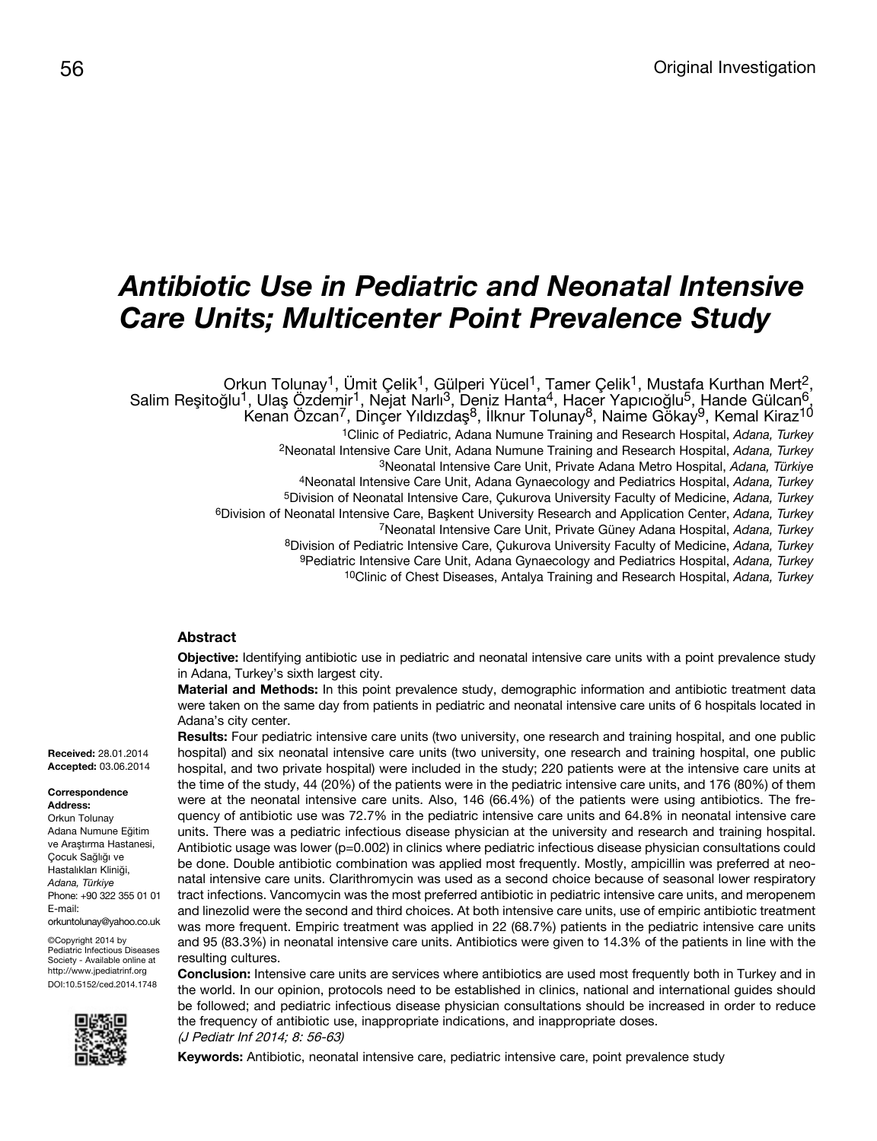# *Antibiotic Use in Pediatric and Neonatal Intensive Care Units; Multicenter Point Prevalence Study*

, Orkun Tolunay<sup>1</sup>, Ümit Çelik<sup>1</sup>, Gülperi Yücel<sup>1</sup>, Tamer Çelik<sup>1</sup>, Mustafa Kurthan Mert<sup>2</sup><br>Salim Reşitoğlu<sup>1</sup>, Ulaş Özdemir<sup>1</sup>, Nejat Narlı<sup>3</sup>, Deniz Hanta<sup>4</sup>, Hacer Yapıcıoğlu<sup>5</sup>, Hande Gülcan<sup>6</sup>, Kemal Kiraz<sup>10</sup> 1Clinic of Pediatric, Adana Numune Training and Research Hospital, *Adana, Turkey* 2Neonatal Intensive Care Unit, Adana Numune Training and Research Hospital, *Adana, Turkey* 3Neonatal Intensive Care Unit, Private Adana Metro Hospital, *Adana, Türkiye* 4Neonatal Intensive Care Unit, Adana Gynaecology and Pediatrics Hospital, *Adana, Turkey* 5Division of Neonatal Intensive Care, Çukurova University Faculty of Medicine, *Adana, Turkey* 6Division of Neonatal Intensive Care, Başkent University Research and Application Center, *Adana, Turkey* 7Neonatal Intensive Care Unit, Private Güney Adana Hospital, *Adana, Turkey* 8Division of Pediatric Intensive Care, Çukurova University Faculty of Medicine, *Adana, Turkey* 9Pediatric Intensive Care Unit, Adana Gynaecology and Pediatrics Hospital, *Adana, Turkey*

10Clinic of Chest Diseases, Antalya Training and Research Hospital, *Adana, Turkey*

## **Abstract**

**Objective:** Identifying antibiotic use in pediatric and neonatal intensive care units with a point prevalence study in Adana, Turkey's sixth largest city.

**Material and Methods:** In this point prevalence study, demographic information and antibiotic treatment data were taken on the same day from patients in pediatric and neonatal intensive care units of 6 hospitals located in Adana's city center.

**Results:** Four pediatric intensive care units (two university, one research and training hospital, and one public hospital) and six neonatal intensive care units (two university, one research and training hospital, one public hospital, and two private hospital) were included in the study; 220 patients were at the intensive care units at the time of the study, 44 (20%) of the patients were in the pediatric intensive care units, and 176 (80%) of them were at the neonatal intensive care units. Also, 146 (66.4%) of the patients were using antibiotics. The frequency of antibiotic use was 72.7% in the pediatric intensive care units and 64.8% in neonatal intensive care units. There was a pediatric infectious disease physician at the university and research and training hospital. Antibiotic usage was lower (p=0.002) in clinics where pediatric infectious disease physician consultations could be done. Double antibiotic combination was applied most frequently. Mostly, ampicillin was preferred at neonatal intensive care units. Clarithromycin was used as a second choice because of seasonal lower respiratory tract infections. Vancomycin was the most preferred antibiotic in pediatric intensive care units, and meropenem and linezolid were the second and third choices. At both intensive care units, use of empiric antibiotic treatment was more frequent. Empiric treatment was applied in 22 (68.7%) patients in the pediatric intensive care units and 95 (83.3%) in neonatal intensive care units. Antibiotics were given to 14.3% of the patients in line with the resulting cultures.

**Conclusion:** Intensive care units are services where antibiotics are used most frequently both in Turkey and in the world. In our opinion, protocols need to be established in clinics, national and international guides should be followed; and pediatric infectious disease physician consultations should be increased in order to reduce the frequency of antibiotic use, inappropriate indications, and inappropriate doses. (J Pediatr Inf 2014; 8: 56-63)

**Keywords:** Antibiotic, neonatal intensive care, pediatric intensive care, point prevalence study

#### **Correspondence Address:**

Orkun Tolunay Adana Numune Eğitim ve Araştırma Hastanesi, Çocuk Sağlığı ve Hastalıkları Kliniği, *Adana, Türkiye* Phone: +90 322 355 01 01 E-mail: orkuntolunay@yahoo.co.uk

©Copyright 2014 by Pediatric Infectious Diseases Society - Available online at http://www.jpediatrinf.org DOI:10.5152/ced.2014.1748

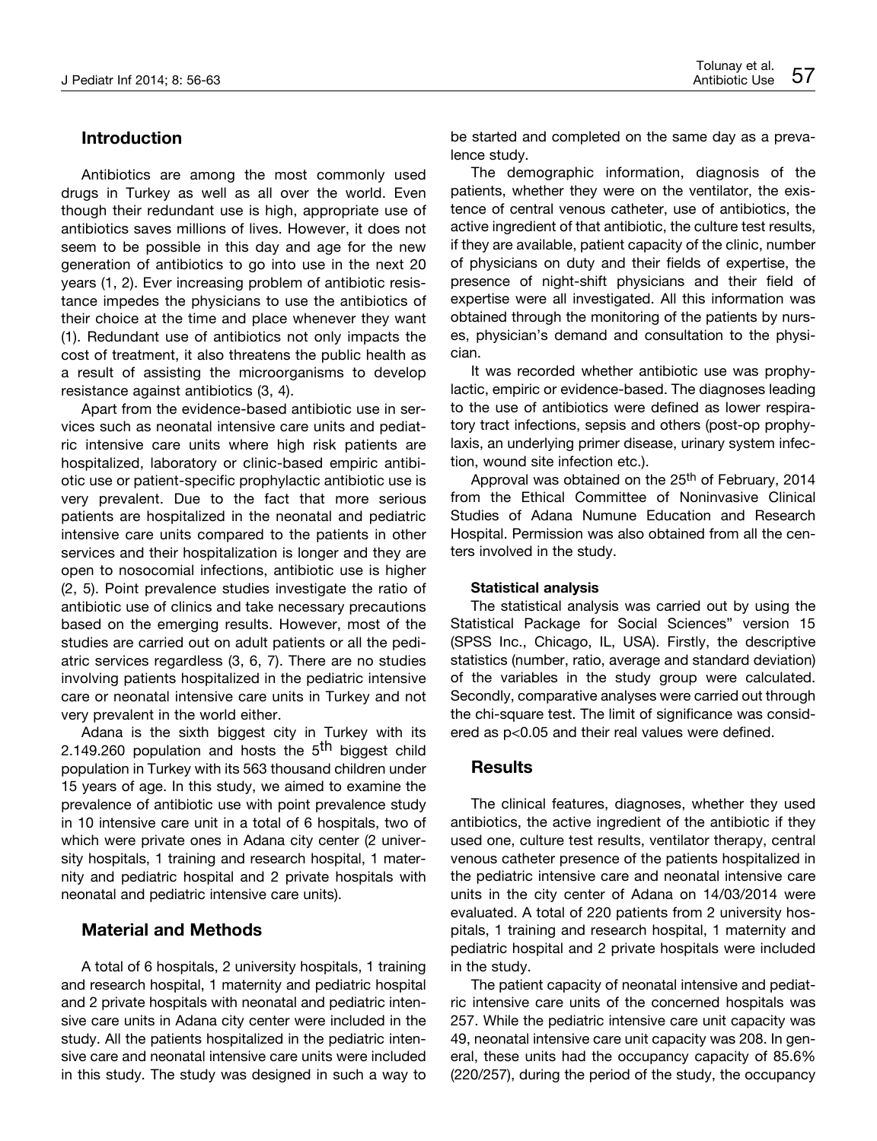## **Introduction**

Antibiotics are among the most commonly used drugs in Turkey as well as all over the world. Even though their redundant use is high, appropriate use of antibiotics saves millions of lives. However, it does not seem to be possible in this day and age for the new generation of antibiotics to go into use in the next 20 years (1, 2). Ever increasing problem of antibiotic resistance impedes the physicians to use the antibiotics of their choice at the time and place whenever they want (1). Redundant use of antibiotics not only impacts the cost of treatment, it also threatens the public health as a result of assisting the microorganisms to develop resistance against antibiotics (3, 4).

Apart from the evidence-based antibiotic use in services such as neonatal intensive care units and pediatric intensive care units where high risk patients are hospitalized, laboratory or clinic-based empiric antibiotic use or patient-specific prophylactic antibiotic use is very prevalent. Due to the fact that more serious patients are hospitalized in the neonatal and pediatric intensive care units compared to the patients in other services and their hospitalization is longer and they are open to nosocomial infections, antibiotic use is higher (2, 5). Point prevalence studies investigate the ratio of antibiotic use of clinics and take necessary precautions based on the emerging results. However, most of the studies are carried out on adult patients or all the pediatric services regardless (3, 6, 7). There are no studies involving patients hospitalized in the pediatric intensive care or neonatal intensive care units in Turkey and not very prevalent in the world either.

Adana is the sixth biggest city in Turkey with its 2.149.260 population and hosts the 5<sup>th</sup> biggest child population in Turkey with its 563 thousand children under 15 years of age. In this study, we aimed to examine the prevalence of antibiotic use with point prevalence study in 10 intensive care unit in a total of 6 hospitals, two of which were private ones in Adana city center (2 university hospitals, 1 training and research hospital, 1 maternity and pediatric hospital and 2 private hospitals with neonatal and pediatric intensive care units).

## **Material and Methods**

A total of 6 hospitals, 2 university hospitals, 1 training and research hospital, 1 maternity and pediatric hospital and 2 private hospitals with neonatal and pediatric intensive care units in Adana city center were included in the study. All the patients hospitalized in the pediatric intensive care and neonatal intensive care units were included in this study. The study was designed in such a way to be started and completed on the same day as a prevalence study.

The demographic information, diagnosis of the patients, whether they were on the ventilator, the existence of central venous catheter, use of antibiotics, the active ingredient of that antibiotic, the culture test results, if they are available, patient capacity of the clinic, number of physicians on duty and their fields of expertise, the presence of night-shift physicians and their field of expertise were all investigated. All this information was obtained through the monitoring of the patients by nurses, physician's demand and consultation to the physician.

It was recorded whether antibiotic use was prophylactic, empiric or evidence-based. The diagnoses leading to the use of antibiotics were defined as lower respiratory tract infections, sepsis and others (post-op prophylaxis, an underlying primer disease, urinary system infection, wound site infection etc.).

Approval was obtained on the 25<sup>th</sup> of February, 2014 from the Ethical Committee of Noninvasive Clinical Studies of Adana Numune Education and Research Hospital. Permission was also obtained from all the centers involved in the study.

### **Statistical analysis**

The statistical analysis was carried out by using the Statistical Package for Social Sciences" version 15 (SPSS Inc., Chicago, IL, USA). Firstly, the descriptive statistics (number, ratio, average and standard deviation) of the variables in the study group were calculated. Secondly, comparative analyses were carried out through the chi-square test. The limit of significance was considered as p<0.05 and their real values were defined.

## **Results**

The clinical features, diagnoses, whether they used antibiotics, the active ingredient of the antibiotic if they used one, culture test results, ventilator therapy, central venous catheter presence of the patients hospitalized in the pediatric intensive care and neonatal intensive care units in the city center of Adana on 14/03/2014 were evaluated. A total of 220 patients from 2 university hospitals, 1 training and research hospital, 1 maternity and pediatric hospital and 2 private hospitals were included in the study.

The patient capacity of neonatal intensive and pediatric intensive care units of the concerned hospitals was 257. While the pediatric intensive care unit capacity was 49, neonatal intensive care unit capacity was 208. In general, these units had the occupancy capacity of 85.6% (220/257), during the period of the study, the occupancy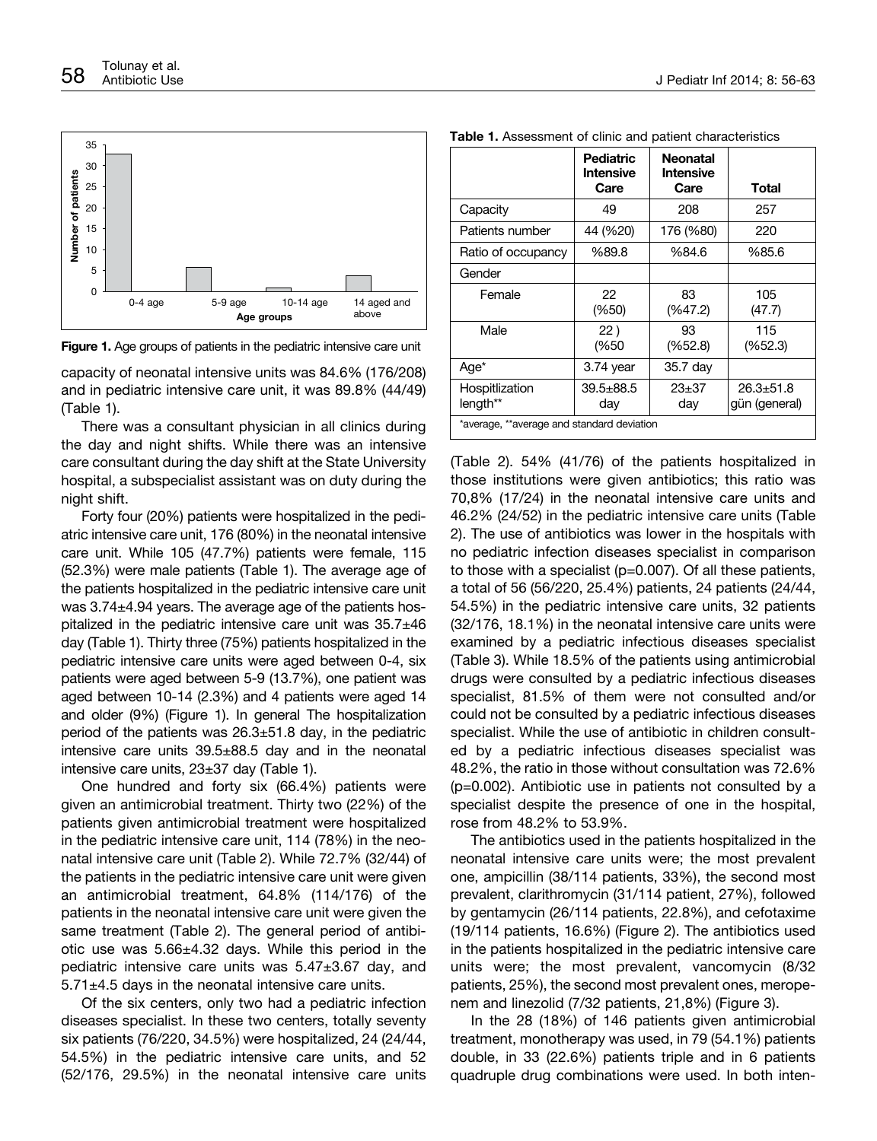

**Figure 1.** Age groups of patients in the pediatric intensive care unit

capacity of neonatal intensive units was 84.6% (176/208) and in pediatric intensive care unit, it was 89.8% (44/49) (Table 1).

There was a consultant physician in all clinics during the day and night shifts. While there was an intensive care consultant during the day shift at the State University hospital, a subspecialist assistant was on duty during the night shift.

Forty four (20%) patients were hospitalized in the pediatric intensive care unit, 176 (80%) in the neonatal intensive care unit. While 105 (47.7%) patients were female, 115 (52.3%) were male patients (Table 1). The average age of the patients hospitalized in the pediatric intensive care unit was 3.74±4.94 years. The average age of the patients hospitalized in the pediatric intensive care unit was 35.7±46 day (Table 1). Thirty three (75%) patients hospitalized in the pediatric intensive care units were aged between 0-4, six patients were aged between 5-9 (13.7%), one patient was aged between 10-14 (2.3%) and 4 patients were aged 14 and older (9%) (Figure 1). In general The hospitalization period of the patients was  $26.3 \pm 51.8$  day, in the pediatric intensive care units 39.5±88.5 day and in the neonatal intensive care units, 23±37 day (Table 1).

One hundred and forty six (66.4%) patients were given an antimicrobial treatment. Thirty two (22%) of the patients given antimicrobial treatment were hospitalized in the pediatric intensive care unit, 114 (78%) in the neonatal intensive care unit (Table 2). While 72.7% (32/44) of the patients in the pediatric intensive care unit were given an antimicrobial treatment, 64.8% (114/176) of the patients in the neonatal intensive care unit were given the same treatment (Table 2). The general period of antibiotic use was 5.66±4.32 days. While this period in the pediatric intensive care units was 5.47±3.67 day, and  $5.71\pm4.5$  days in the neonatal intensive care units.

Of the six centers, only two had a pediatric infection diseases specialist. In these two centers, totally seventy six patients (76/220, 34.5%) were hospitalized, 24 (24/44, 54.5%) in the pediatric intensive care units, and 52 (52/176, 29.5%) in the neonatal intensive care units

|                                            | <b>Pediatric</b><br><b>Intensive</b><br>Care | <b>Neonatal</b><br><b>Intensive</b><br>Care | Total                          |  |
|--------------------------------------------|----------------------------------------------|---------------------------------------------|--------------------------------|--|
| Capacity                                   | 49                                           | 208                                         | 257                            |  |
| Patients number                            | 44 (%20)                                     | 176 (%80)                                   | 220                            |  |
| Ratio of occupancy                         | %89.8                                        | %84.6                                       | %85.6                          |  |
| Gender                                     |                                              |                                             |                                |  |
| Female                                     | 22<br>(% 6, 50)                              | 83<br>(% 2)                                 | 105<br>(47.7)                  |  |
| Male                                       | 22)<br>(%50                                  | 93<br>(% 2, 4)                              | 115<br>(%52.3)                 |  |
| Age <sup>*</sup>                           | 3.74 year                                    | 35.7 day                                    |                                |  |
| Hospitlization<br>length**                 | $39.5 + 88.5$<br>day                         | $23 + 37$<br>day                            | $26.3 + 51.8$<br>gün (general) |  |
| *average, **average and standard deviation |                                              |                                             |                                |  |

(Table 2). 54% (41/76) of the patients hospitalized in those institutions were given antibiotics; this ratio was 70,8% (17/24) in the neonatal intensive care units and 46.2% (24/52) in the pediatric intensive care units (Table 2). The use of antibiotics was lower in the hospitals with no pediatric infection diseases specialist in comparison to those with a specialist (p=0.007). Of all these patients, a total of 56 (56/220, 25.4%) patients, 24 patients (24/44, 54.5%) in the pediatric intensive care units, 32 patients (32/176, 18.1%) in the neonatal intensive care units were examined by a pediatric infectious diseases specialist (Table 3). While 18.5% of the patients using antimicrobial drugs were consulted by a pediatric infectious diseases specialist, 81.5% of them were not consulted and/or could not be consulted by a pediatric infectious diseases specialist. While the use of antibiotic in children consulted by a pediatric infectious diseases specialist was 48.2%, the ratio in those without consultation was 72.6% (p=0.002). Antibiotic use in patients not consulted by a specialist despite the presence of one in the hospital, rose from 48.2% to 53.9%.

The antibiotics used in the patients hospitalized in the neonatal intensive care units were; the most prevalent one, ampicillin (38/114 patients, 33%), the second most prevalent, clarithromycin (31/114 patient, 27%), followed by gentamycin (26/114 patients, 22.8%), and cefotaxime (19/114 patients, 16.6%) (Figure 2). The antibiotics used in the patients hospitalized in the pediatric intensive care units were; the most prevalent, vancomycin (8/32 patients, 25%), the second most prevalent ones, meropenem and linezolid (7/32 patients, 21,8%) (Figure 3).

In the 28 (18%) of 146 patients given antimicrobial treatment, monotherapy was used, in 79 (54.1%) patients double, in 33 (22.6%) patients triple and in 6 patients quadruple drug combinations were used. In both inten-

**Table 1.** Assessment of clinic and patient characteristics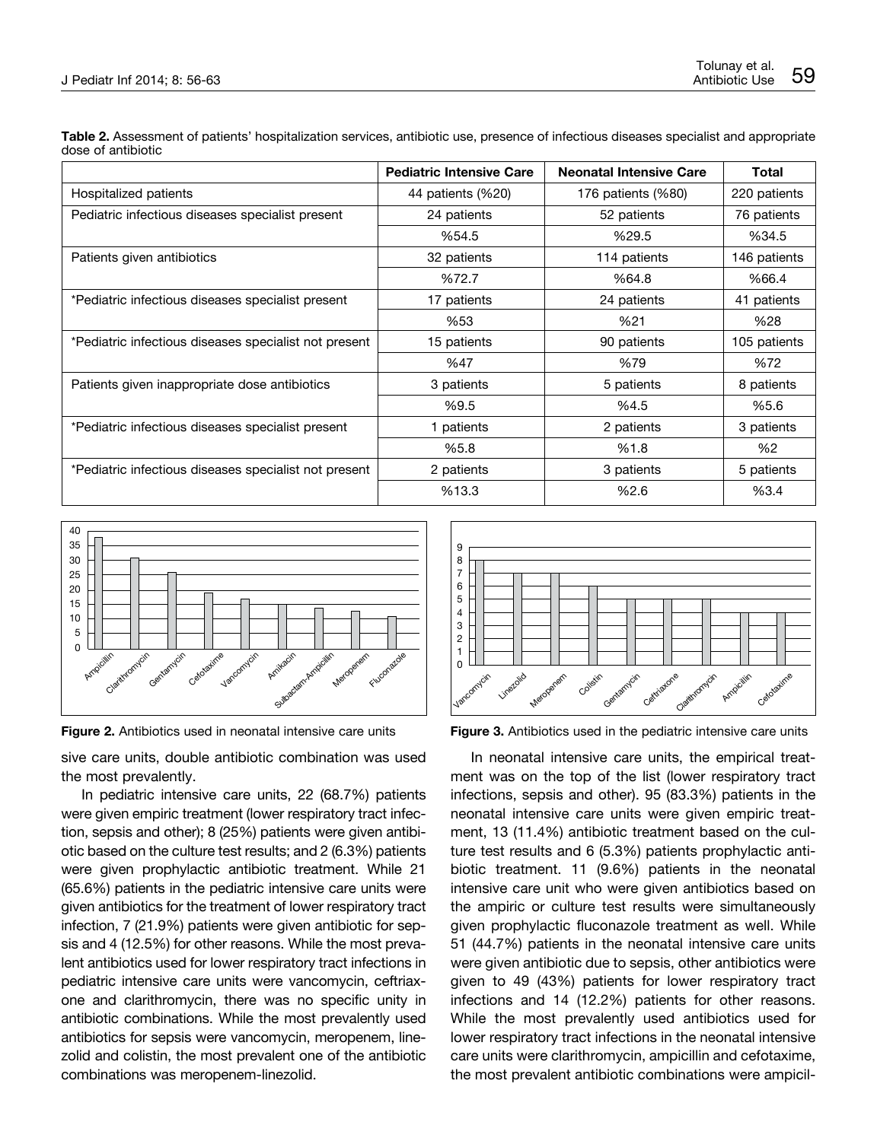|                                                       | <b>Pediatric Intensive Care</b> | <b>Neonatal Intensive Care</b> | Total        |
|-------------------------------------------------------|---------------------------------|--------------------------------|--------------|
| Hospitalized patients                                 | 44 patients (%20)               | 176 patients (%80)             | 220 patients |
| Pediatric infectious diseases specialist present      | 24 patients                     | 52 patients                    | 76 patients  |
|                                                       | %54.5                           | %29.5                          | %34.5        |
| Patients given antibiotics                            | 32 patients                     | 114 patients                   | 146 patients |
|                                                       | %72.7                           | %64.8                          | %66.4        |
| *Pediatric infectious diseases specialist present     | 17 patients                     | 24 patients                    | 41 patients  |
|                                                       | %53                             | %21                            | %28          |
| *Pediatric infectious diseases specialist not present | 15 patients                     | 90 patients                    | 105 patients |
|                                                       | %47                             | %79                            | %72          |
| Patients given inappropriate dose antibiotics         | 3 patients                      | 5 patients                     | 8 patients   |
|                                                       | %9.5                            | %4.5                           | %5.6         |
| *Pediatric infectious diseases specialist present     | 1 patients                      | 2 patients                     | 3 patients   |
|                                                       | %5.8                            | %1.8                           | %2           |
| *Pediatric infectious diseases specialist not present | 2 patients                      | 3 patients                     | 5 patients   |
|                                                       | %13.3                           | %2.6                           | %3.4         |

**Table 2.** Assessment of patients' hospitalization services, antibiotic use, presence of infectious diseases specialist and appropriate dose of antibiotic



**Figure 2.** Antibiotics used in neonatal intensive care units

sive care units, double antibiotic combination was used the most prevalently.

In pediatric intensive care units, 22 (68.7%) patients were given empiric treatment (lower respiratory tract infection, sepsis and other); 8 (25%) patients were given antibiotic based on the culture test results; and 2 (6.3%) patients were given prophylactic antibiotic treatment. While 21 (65.6%) patients in the pediatric intensive care units were given antibiotics for the treatment of lower respiratory tract infection, 7 (21.9%) patients were given antibiotic for sepsis and 4 (12.5%) for other reasons. While the most prevalent antibiotics used for lower respiratory tract infections in pediatric intensive care units were vancomycin, ceftriaxone and clarithromycin, there was no specific unity in antibiotic combinations. While the most prevalently used antibiotics for sepsis were vancomycin, meropenem, linezolid and colistin, the most prevalent one of the antibiotic combinations was meropenem-linezolid.



**Figure 3.** Antibiotics used in the pediatric intensive care units

In neonatal intensive care units, the empirical treatment was on the top of the list (lower respiratory tract infections, sepsis and other). 95 (83.3%) patients in the neonatal intensive care units were given empiric treatment, 13 (11.4%) antibiotic treatment based on the culture test results and 6 (5.3%) patients prophylactic antibiotic treatment. 11 (9.6%) patients in the neonatal intensive care unit who were given antibiotics based on the ampiric or culture test results were simultaneously given prophylactic fluconazole treatment as well. While 51 (44.7%) patients in the neonatal intensive care units were given antibiotic due to sepsis, other antibiotics were given to 49 (43%) patients for lower respiratory tract infections and 14 (12.2%) patients for other reasons. While the most prevalently used antibiotics used for lower respiratory tract infections in the neonatal intensive care units were clarithromycin, ampicillin and cefotaxime, the most prevalent antibiotic combinations were ampicil-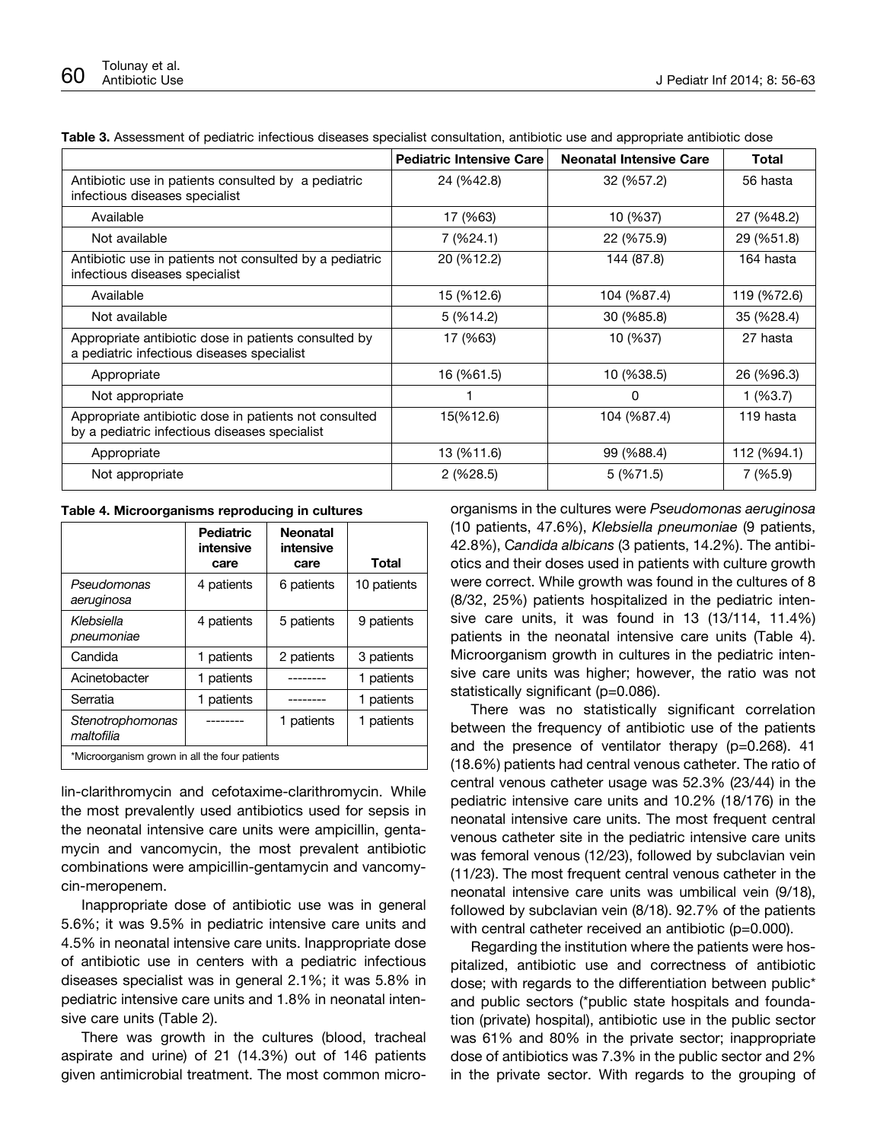|                                                                                                        | <b>Pediatric Intensive Care</b> | <b>Neonatal Intensive Care</b> | Total       |
|--------------------------------------------------------------------------------------------------------|---------------------------------|--------------------------------|-------------|
| Antibiotic use in patients consulted by a pediatric<br>infectious diseases specialist                  | 24 (%42.8)                      | 32 (%57.2)                     | 56 hasta    |
| Available                                                                                              | 17 (%63)                        | 10 (%37)                       | 27 (%48.2)  |
| Not available                                                                                          | 7 (%24.1)                       | 22 (%75.9)                     | 29 (%51.8)  |
| Antibiotic use in patients not consulted by a pediatric<br>infectious diseases specialist              | 20 (%12.2)                      | 144 (87.8)                     | 164 hasta   |
| Available                                                                                              | 15 (%12.6)                      | 104 (%87.4)                    | 119 (%72.6) |
| Not available                                                                                          | 5(%14.2)                        | 30 (%85.8)                     | 35 (%28.4)  |
| Appropriate antibiotic dose in patients consulted by<br>a pediatric infectious diseases specialist     | 17 (%63)                        | 10 (%37)                       | 27 hasta    |
| Appropriate                                                                                            | 16 (%61.5)                      | 10 (%38.5)                     | 26 (%96.3)  |
| Not appropriate                                                                                        |                                 | 0                              | $1($ %3.7)  |
| Appropriate antibiotic dose in patients not consulted<br>by a pediatric infectious diseases specialist | 15(%12.6)                       | 104 (%87.4)                    | 119 hasta   |
| Appropriate                                                                                            | 13 (%11.6)                      | 99 (%88.4)                     | 112 (%94.1) |
| Not appropriate                                                                                        | 2(%28.5)                        | 5(%71.5)                       | 7 (%5.9)    |

| Table 3. Assessment of pediatric infectious diseases specialist consultation, antibiotic use and appropriate antibiotic dose |  |  |  |  |  |  |
|------------------------------------------------------------------------------------------------------------------------------|--|--|--|--|--|--|
|------------------------------------------------------------------------------------------------------------------------------|--|--|--|--|--|--|

| Table 4. Microorganisms reproducing in cultures |  |
|-------------------------------------------------|--|
|-------------------------------------------------|--|

|                                               | <b>Pediatric</b><br>intensive<br>care | <b>Neonatal</b><br>intensive<br>care | Total       |  |
|-----------------------------------------------|---------------------------------------|--------------------------------------|-------------|--|
| Pseudomonas<br>aeruginosa                     | 4 patients                            | 6 patients                           | 10 patients |  |
| Klebsiella<br>pneumoniae                      | 4 patients                            | 5 patients                           | 9 patients  |  |
| Candida                                       | 1 patients                            | 2 patients                           | 3 patients  |  |
| Acinetobacter                                 | 1 patients                            |                                      | 1 patients  |  |
| Serratia                                      | 1 patients                            |                                      | 1 patients  |  |
| Stenotrophomonas<br>maltofilia                |                                       | 1 patients                           | 1 patients  |  |
| *Microorganism grown in all the four patients |                                       |                                      |             |  |

lin-clarithromycin and cefotaxime-clarithromycin. While the most prevalently used antibiotics used for sepsis in the neonatal intensive care units were ampicillin, gentamycin and vancomycin, the most prevalent antibiotic combinations were ampicillin-gentamycin and vancomycin-meropenem.

Inappropriate dose of antibiotic use was in general 5.6%; it was 9.5% in pediatric intensive care units and 4.5% in neonatal intensive care units. Inappropriate dose of antibiotic use in centers with a pediatric infectious diseases specialist was in general 2.1%; it was 5.8% in pediatric intensive care units and 1.8% in neonatal intensive care units (Table 2).

There was growth in the cultures (blood, tracheal aspirate and urine) of 21 (14.3%) out of 146 patients given antimicrobial treatment. The most common microorganisms in the cultures were *Pseudomonas aeruginosa* (10 patients, 47.6%), *Klebsiella pneumoniae* (9 patients, 42.8%), C*andida albicans* (3 patients, 14.2%). The antibiotics and their doses used in patients with culture growth were correct. While growth was found in the cultures of 8 (8/32, 25%) patients hospitalized in the pediatric intensive care units, it was found in 13 (13/114, 11.4%) patients in the neonatal intensive care units (Table 4). Microorganism growth in cultures in the pediatric intensive care units was higher; however, the ratio was not statistically significant (p=0.086).

There was no statistically significant correlation between the frequency of antibiotic use of the patients and the presence of ventilator therapy (p=0.268). 41 (18.6%) patients had central venous catheter. The ratio of central venous catheter usage was 52.3% (23/44) in the pediatric intensive care units and 10.2% (18/176) in the neonatal intensive care units. The most frequent central venous catheter site in the pediatric intensive care units was femoral venous (12/23), followed by subclavian vein (11/23). The most frequent central venous catheter in the neonatal intensive care units was umbilical vein (9/18), followed by subclavian vein (8/18). 92.7% of the patients with central catheter received an antibiotic (p=0.000).

Regarding the institution where the patients were hospitalized, antibiotic use and correctness of antibiotic dose; with regards to the differentiation between public\* and public sectors (\*public state hospitals and foundation (private) hospital), antibiotic use in the public sector was 61% and 80% in the private sector; inappropriate dose of antibiotics was 7.3% in the public sector and 2% in the private sector. With regards to the grouping of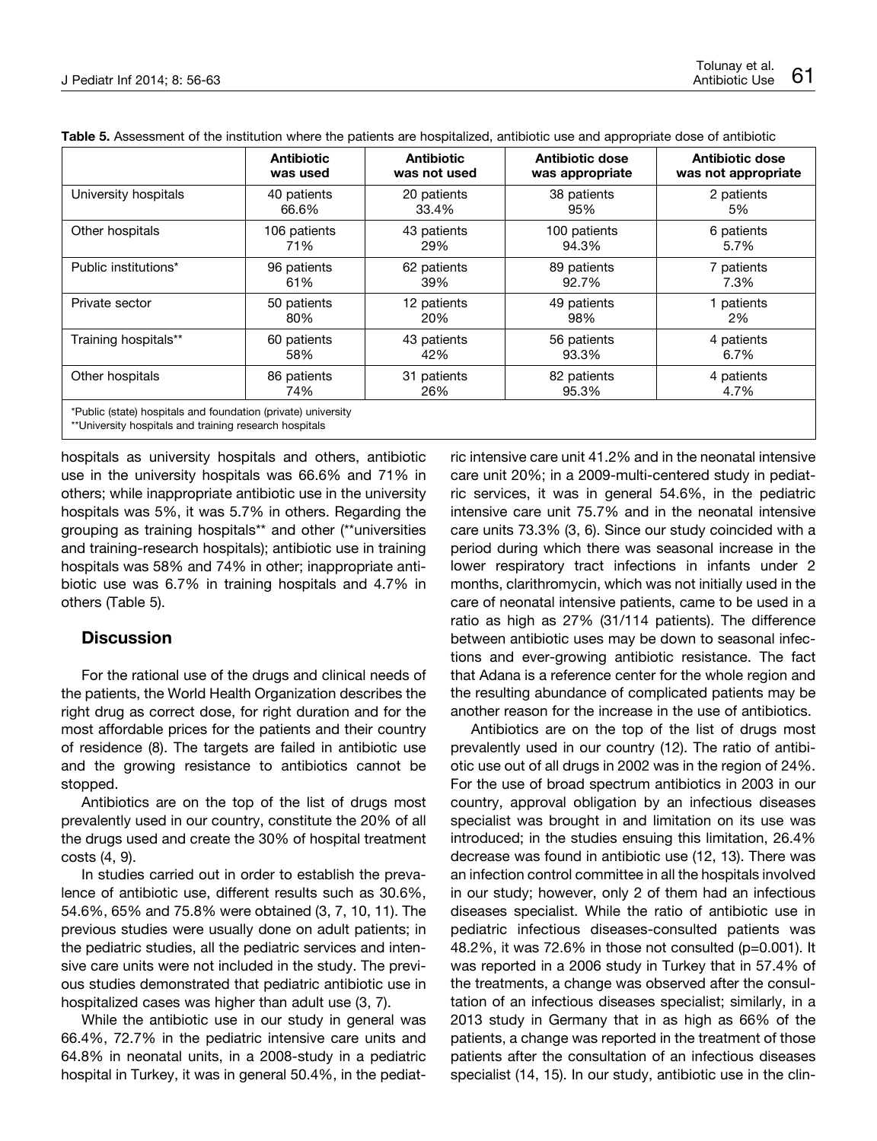|                                                                                                                                                       | <b>Antibiotic</b> | <b>Antibiotic</b> | <b>Antibiotic dose</b> | <b>Antibiotic dose</b> |  |
|-------------------------------------------------------------------------------------------------------------------------------------------------------|-------------------|-------------------|------------------------|------------------------|--|
|                                                                                                                                                       | was used          | was not used      | was appropriate        | was not appropriate    |  |
| University hospitals                                                                                                                                  | 40 patients       | 20 patients       | 38 patients            | 2 patients             |  |
|                                                                                                                                                       | 66.6%             | 33.4%             | 95%                    | 5%                     |  |
| Other hospitals                                                                                                                                       | 106 patients      | 43 patients       | 100 patients           | 6 patients             |  |
|                                                                                                                                                       | 71%               | 29%               | 94.3%                  | 5.7%                   |  |
| Public institutions*                                                                                                                                  | 96 patients       | 62 patients       | 89 patients            | 7 patients             |  |
|                                                                                                                                                       | 61%               | 39%               | 92.7%                  | 7.3%                   |  |
| Private sector                                                                                                                                        | 50 patients       | 12 patients       | 49 patients            | patients               |  |
|                                                                                                                                                       | 80%               | 20%               | 98%                    | 2%                     |  |
| Training hospitals**                                                                                                                                  | 60 patients       | 43 patients       | 56 patients            | 4 patients             |  |
|                                                                                                                                                       | 58%               | 42%               | 93.3%                  | 6.7%                   |  |
| Other hospitals                                                                                                                                       | 86 patients       | 31 patients       | 82 patients            | 4 patients             |  |
|                                                                                                                                                       | 74%               | 26%               | 95.3%                  | 4.7%                   |  |
| *Public (state) hospitals and foundation (private) university<br>WWI laterality that has a controller and discollered and a concern to the controller |                   |                   |                        |                        |  |

**Table 5.** Assessment of the institution where the patients are hospitalized, antibiotic use and appropriate dose of antibiotic

University hospitals and training research hospitals

hospitals as university hospitals and others, antibiotic use in the university hospitals was 66.6% and 71% in others; while inappropriate antibiotic use in the university hospitals was 5%, it was 5.7% in others. Regarding the grouping as training hospitals\*\* and other (\*\*universities and training-research hospitals); antibiotic use in training hospitals was 58% and 74% in other; inappropriate antibiotic use was 6.7% in training hospitals and 4.7% in others (Table 5).

## **Discussion**

For the rational use of the drugs and clinical needs of the patients, the World Health Organization describes the right drug as correct dose, for right duration and for the most affordable prices for the patients and their country of residence (8). The targets are failed in antibiotic use and the growing resistance to antibiotics cannot be stopped.

Antibiotics are on the top of the list of drugs most prevalently used in our country, constitute the 20% of all the drugs used and create the 30% of hospital treatment costs (4, 9).

In studies carried out in order to establish the prevalence of antibiotic use, different results such as 30.6%, 54.6%, 65% and 75.8% were obtained (3, 7, 10, 11). The previous studies were usually done on adult patients; in the pediatric studies, all the pediatric services and intensive care units were not included in the study. The previous studies demonstrated that pediatric antibiotic use in hospitalized cases was higher than adult use (3, 7).

While the antibiotic use in our study in general was 66.4%, 72.7% in the pediatric intensive care units and 64.8% in neonatal units, in a 2008-study in a pediatric hospital in Turkey, it was in general 50.4%, in the pediatric intensive care unit 41.2% and in the neonatal intensive care unit 20%; in a 2009-multi-centered study in pediatric services, it was in general 54.6%, in the pediatric intensive care unit 75.7% and in the neonatal intensive care units 73.3% (3, 6). Since our study coincided with a period during which there was seasonal increase in the lower respiratory tract infections in infants under 2 months, clarithromycin, which was not initially used in the care of neonatal intensive patients, came to be used in a ratio as high as 27% (31/114 patients). The difference between antibiotic uses may be down to seasonal infections and ever-growing antibiotic resistance. The fact that Adana is a reference center for the whole region and the resulting abundance of complicated patients may be another reason for the increase in the use of antibiotics.

Antibiotics are on the top of the list of drugs most prevalently used in our country (12). The ratio of antibiotic use out of all drugs in 2002 was in the region of 24%. For the use of broad spectrum antibiotics in 2003 in our country, approval obligation by an infectious diseases specialist was brought in and limitation on its use was introduced; in the studies ensuing this limitation, 26.4% decrease was found in antibiotic use (12, 13). There was an infection control committee in all the hospitals involved in our study; however, only 2 of them had an infectious diseases specialist. While the ratio of antibiotic use in pediatric infectious diseases-consulted patients was 48.2%, it was 72.6% in those not consulted (p=0.001). It was reported in a 2006 study in Turkey that in 57.4% of the treatments, a change was observed after the consultation of an infectious diseases specialist; similarly, in a 2013 study in Germany that in as high as 66% of the patients, a change was reported in the treatment of those patients after the consultation of an infectious diseases specialist (14, 15). In our study, antibiotic use in the clin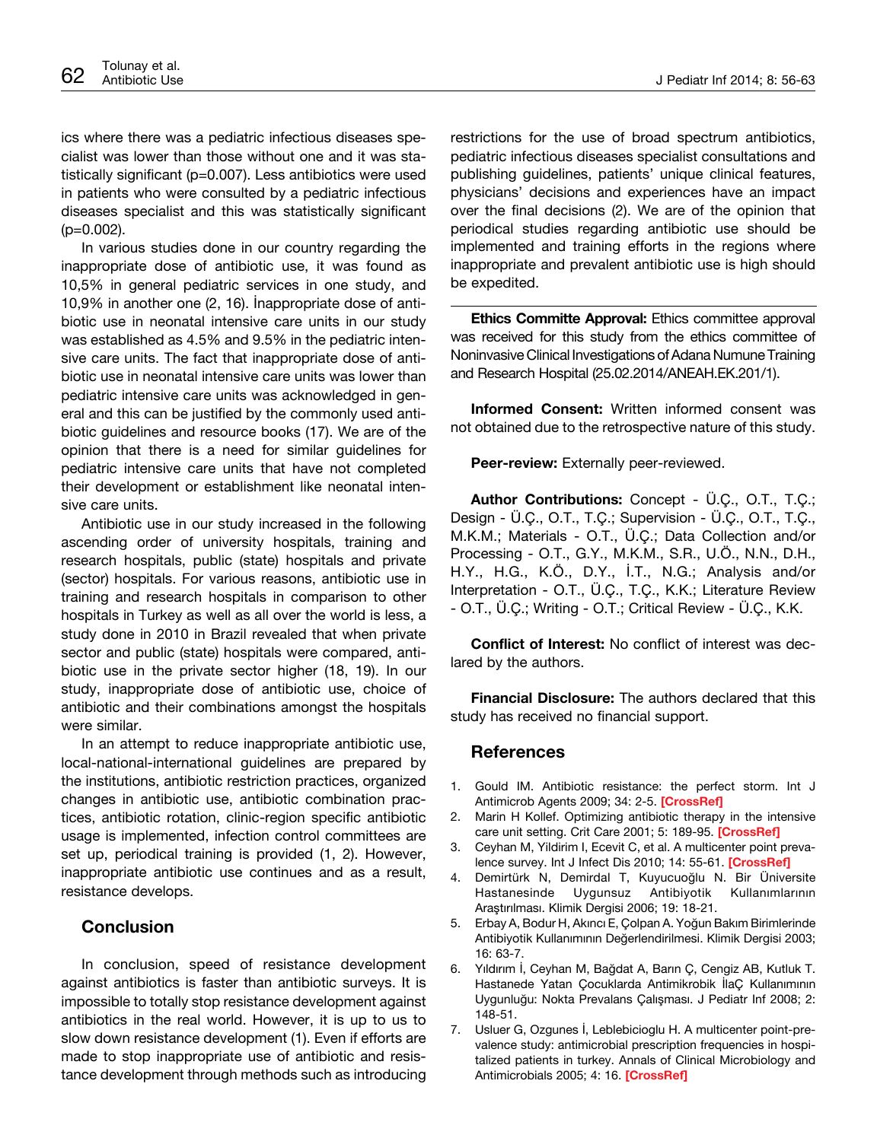ics where there was a pediatric infectious diseases specialist was lower than those without one and it was statistically significant (p=0.007). Less antibiotics were used in patients who were consulted by a pediatric infectious diseases specialist and this was statistically significant  $(p=0.002)$ .

In various studies done in our country regarding the inappropriate dose of antibiotic use, it was found as 10,5% in general pediatric services in one study, and 10,9% in another one (2, 16). İnappropriate dose of antibiotic use in neonatal intensive care units in our study was established as 4.5% and 9.5% in the pediatric intensive care units. The fact that inappropriate dose of antibiotic use in neonatal intensive care units was lower than pediatric intensive care units was acknowledged in general and this can be justified by the commonly used antibiotic guidelines and resource books (17). We are of the opinion that there is a need for similar guidelines for pediatric intensive care units that have not completed their development or establishment like neonatal intensive care units.

Antibiotic use in our study increased in the following ascending order of university hospitals, training and research hospitals, public (state) hospitals and private (sector) hospitals. For various reasons, antibiotic use in training and research hospitals in comparison to other hospitals in Turkey as well as all over the world is less, a study done in 2010 in Brazil revealed that when private sector and public (state) hospitals were compared, antibiotic use in the private sector higher (18, 19). In our study, inappropriate dose of antibiotic use, choice of antibiotic and their combinations amongst the hospitals were similar.

In an attempt to reduce inappropriate antibiotic use, local-national-international guidelines are prepared by the institutions, antibiotic restriction practices, organized changes in antibiotic use, antibiotic combination practices, antibiotic rotation, clinic-region specific antibiotic usage is implemented, infection control committees are set up, periodical training is provided (1, 2). However, inappropriate antibiotic use continues and as a result, resistance develops.

## **Conclusion**

In conclusion, speed of resistance development against antibiotics is faster than antibiotic surveys. It is impossible to totally stop resistance development against antibiotics in the real world. However, it is up to us to slow down resistance development (1). Even if efforts are made to stop inappropriate use of antibiotic and resistance development through methods such as introducing

restrictions for the use of broad spectrum antibiotics, pediatric infectious diseases specialist consultations and publishing guidelines, patients' unique clinical features, physicians' decisions and experiences have an impact over the final decisions (2). We are of the opinion that periodical studies regarding antibiotic use should be implemented and training efforts in the regions where inappropriate and prevalent antibiotic use is high should be expedited.

**Ethics Committe Approval:** Ethics committee approval was received for this study from the ethics committee of Noninvasive Clinical Investigations of Adana Numune Training and Research Hospital (25.02.2014/ANEAH.EK.201/1).

**Informed Consent:** Written informed consent was not obtained due to the retrospective nature of this study.

**Peer-review:** Externally peer-reviewed.

**Author Contributions:** Concept - Ü.Ç., O.T., T.Ç.; Design - Ü.Ç., O.T., T.Ç.; Supervision - Ü.Ç., O.T., T.Ç., M.K.M.; Materials - O.T., Ü.Ç.; Data Collection and/or Processing - O.T., G.Y., M.K.M., S.R., U.Ö., N.N., D.H., H.Y., H.G., K.Ö., D.Y., İ.T., N.G.; Analysis and/or Interpretation - O.T., Ü.Ç., T.Ç., K.K.; Literature Review - O.T., Ü.Ç.; Writing - O.T.; Critical Review - Ü.Ç., K.K.

**Conflict of Interest:** No conflict of interest was declared by the authors.

**Financial Disclosure:** The authors declared that this study has received no financial support.

## **References**

- 1. Gould IM. Antibiotic resistance: the perfect storm. Int J Antimicrob Agents 2009; 34: 2-5. **[\[CrossRef\]]( http://dx.doi.org/10.1016/S0924-8579(09)70549-7 )**
- 2. Marin H Kollef. Optimizing antibiotic therapy in the intensive care unit setting. Crit Care 2001; 5: 189-95. **[[CrossRef](http://dx.doi.org/10.1186/cc1022)]**
- 3. Ceyhan M, Yildirim I, Ecevit C, et al. A multicenter point prevalence survey. Int J Infect Dis 2010; 14: 55-61. **[\[CrossRef\]](http://dx.doi.org/10.1016/j.ijid.2009.03.013)**
- 4. Demirtürk N, Demirdal T, Kuyucuoğlu N. Bir Üniversite Hastanesinde Uygunsuz Antibiyotik Kullanımlarının Araştırılması. Klimik Dergisi 2006; 19: 18-21.
- 5. Erbay A, Bodur H, Akıncı E, Çolpan A. Yoğun Bakım Birimlerinde Antibiyotik Kullanımının Değerlendirilmesi. Klimik Dergisi 2003; 16: 63-7.
- 6. Yıldırım İ, Ceyhan M, Bağdat A, Barın Ç, Cengiz AB, Kutluk T. Hastanede Yatan Çocuklarda Antimikrobik İlaÇ Kullanımının Uygunluğu: Nokta Prevalans Çalışması. J Pediatr Inf 2008; 2: 148-51.
- 7. Usluer G, Ozgunes İ, Leblebicioglu H. A multicenter point-prevalence study: antimicrobial prescription frequencies in hospitalized patients in turkey. Annals of Clinical Microbiology and Antimicrobials 2005; 4: 16. **[\[CrossRef](http://dx.doi.org/10.1186/1476-0711-4-16)]**